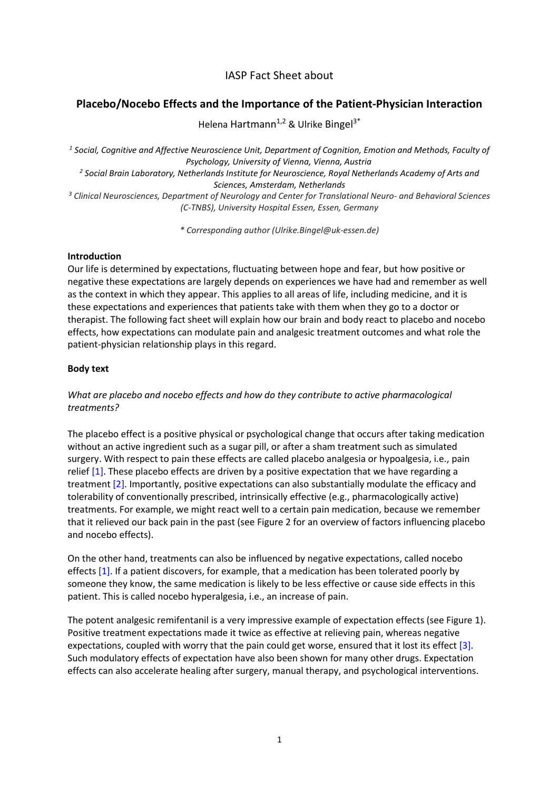# IASP Fact Sheet about

## Placebo/Nocebo Effects and the Importance of the Patient-Physician Interaction

Helena Hartmann<sup>1,2</sup> & Ulrike Bingel<sup>3\*</sup>

 $<sup>1</sup>$  Social, Cognitive and Affective Neuroscience Unit, Department of Cognition, Emotion and Methods, Faculty of</sup> Psychology, University of Vienna, Vienna, Austria

 $^2$  Social Brain Laboratory, Netherlands Institute for Neuroscience, Royal Netherlands Academy of Arts and Sciences, Amsterdam, Netherlands

<sup>3</sup> Clinical Neurosciences, Department of Neurology and Center for Translational Neuro- and Behavioral Sciences (C-TNBS), University Hospital Essen, Essen, Germany

\* Corresponding author (Ulrike.Bingel@uk-essen.de)

#### **Introduction**

Our life is determined by expectations, fluctuating between hope and fear, but how positive or negative these expectations are largely depends on experiences we have had and remember as well as the context in which they appear. This applies to all areas of life, including medicine, and it is these expectations and experiences that patients take with them when they go to a doctor or therapist. The following fact sheet will explain how our brain and body react to placebo and nocebo effects, how expectations can modulate pain and analgesic treatment outcomes and what role the patient-physician relationship plays in this regard.

### Body text

## What are placebo and nocebo effects and how do they contribute to active pharmacological treatments?

The placebo effect is a positive physical or psychological change that occurs after taking medication without an active ingredient such as a sugar pill, or after a sham treatment such as simulated surgery. With respect to pain these effects are called placebo analgesia or hypoalgesia, i.e., pain relief [1]. These placebo effects are driven by a positive expectation that we have regarding a treatment [2]. Importantly, positive expectations can also substantially modulate the efficacy and tolerability of conventionally prescribed, intrinsically effective (e.g., pharmacologically active) treatments. For example, we might react well to a certain pain medication, because we remember that it relieved our back pain in the past (see Figure 2 for an overview of factors influencing placebo and nocebo effects).

On the other hand, treatments can also be influenced by negative expectations, called nocebo effects [1]. If a patient discovers, for example, that a medication has been tolerated poorly by someone they know, the same medication is likely to be less effective or cause side effects in this patient. This is called nocebo hyperalgesia, i.e., an increase of pain.

The potent analgesic remifentanil is a very impressive example of expectation effects (see Figure 1). Positive treatment expectations made it twice as effective at relieving pain, whereas negative expectations, coupled with worry that the pain could get worse, ensured that it lost its effect [3]. Such modulatory effects of expectation have also been shown for many other drugs. Expectation effects can also accelerate healing after surgery, manual therapy, and psychological interventions.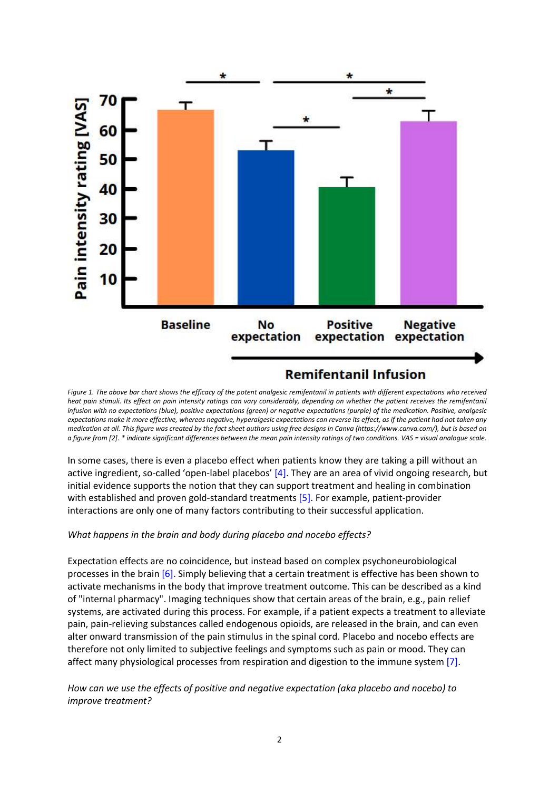

Figure 1. The above bar chart shows the efficacy of the potent analgesic remifentanil in patients with different expectations who received heat pain stimuli. Its effect on pain intensity ratings can vary considerably, depending on whether the patient receives the remifentanil infusion with no expectations (blue), positive expectations (green) or negative expectations (purple) of the medication. Positive, analgesic expectations make it more effective, whereas negative, hyperalgesic expectations can reverse its effect, as if the patient had not taken any medication at all. This figure was created by the fact sheet authors using free designs in Canva (https://www.canva.com/), but is based on a figure from [2]. \* indicate significant differences between the mean pain intensity ratings of two conditions. VAS = visual analogue scale.

In some cases, there is even a placebo effect when patients know they are taking a pill without an active ingredient, so-called 'open-label placebos' [4]. They are an area of vivid ongoing research, but initial evidence supports the notion that they can support treatment and healing in combination with established and proven gold-standard treatments [5]. For example, patient-provider interactions are only one of many factors contributing to their successful application.

### What happens in the brain and body during placebo and nocebo effects?

Expectation effects are no coincidence, but instead based on complex psychoneurobiological processes in the brain  $[6]$ . Simply believing that a certain treatment is effective has been shown to activate mechanisms in the body that improve treatment outcome. This can be described as a kind of "internal pharmacy". Imaging techniques show that certain areas of the brain, e.g., pain relief systems, are activated during this process. For example, if a patient expects a treatment to alleviate pain, pain-relieving substances called endogenous opioids, are released in the brain, and can even alter onward transmission of the pain stimulus in the spinal cord. Placebo and nocebo effects are therefore not only limited to subjective feelings and symptoms such as pain or mood. They can affect many physiological processes from respiration and digestion to the immune system [7].

How can we use the effects of positive and negative expectation (aka placebo and nocebo) to improve treatment?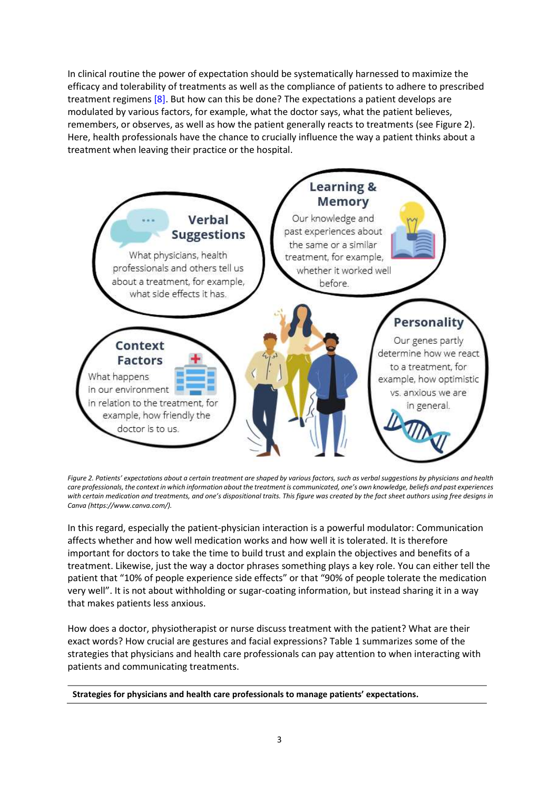In clinical routine the power of expectation should be systematically harnessed to maximize the efficacy and tolerability of treatments as well as the compliance of patients to adhere to prescribed treatment regimens [8]. But how can this be done? The expectations a patient develops are modulated by various factors, for example, what the doctor says, what the patient believes, remembers, or observes, as well as how the patient generally reacts to treatments (see Figure 2). Here, health professionals have the chance to crucially influence the way a patient thinks about a treatment when leaving their practice or the hospital.



Figure 2. Patients' expectations about a certain treatment are shaped by various factors, such as verbal suggestions by physicians and health care professionals, the context in which information about the treatment is communicated, one's own knowledge, beliefs and past experiences with certain medication and treatments, and one's dispositional traits. This figure was created by the fact sheet authors using free designs in Canva (https://www.canva.com/).

In this regard, especially the patient-physician interaction is a powerful modulator: Communication affects whether and how well medication works and how well it is tolerated. It is therefore important for doctors to take the time to build trust and explain the objectives and benefits of a treatment. Likewise, just the way a doctor phrases something plays a key role. You can either tell the patient that "10% of people experience side effects" or that "90% of people tolerate the medication very well". It is not about withholding or sugar-coating information, but instead sharing it in a way that makes patients less anxious.

How does a doctor, physiotherapist or nurse discuss treatment with the patient? What are their exact words? How crucial are gestures and facial expressions? Table 1 summarizes some of the strategies that physicians and health care professionals can pay attention to when interacting with patients and communicating treatments.

Strategies for physicians and health care professionals to manage patients' expectations.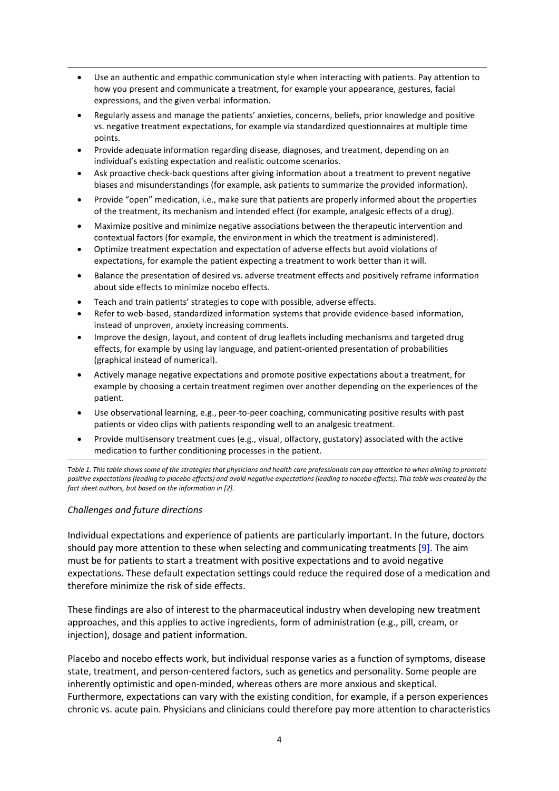- Use an authentic and empathic communication style when interacting with patients. Pay attention to how you present and communicate a treatment, for example your appearance, gestures, facial expressions, and the given verbal information.
- Regularly assess and manage the patients' anxieties, concerns, beliefs, prior knowledge and positive vs. negative treatment expectations, for example via standardized questionnaires at multiple time points.
- Provide adequate information regarding disease, diagnoses, and treatment, depending on an individual's existing expectation and realistic outcome scenarios.
- Ask proactive check-back questions after giving information about a treatment to prevent negative biases and misunderstandings (for example, ask patients to summarize the provided information).
- Provide "open" medication, i.e., make sure that patients are properly informed about the properties of the treatment, its mechanism and intended effect (for example, analgesic effects of a drug).
- Maximize positive and minimize negative associations between the therapeutic intervention and contextual factors (for example, the environment in which the treatment is administered).
- Optimize treatment expectation and expectation of adverse effects but avoid violations of expectations, for example the patient expecting a treatment to work better than it will.
- Balance the presentation of desired vs. adverse treatment effects and positively reframe information about side effects to minimize nocebo effects.
- Teach and train patients' strategies to cope with possible, adverse effects.
- Refer to web-based, standardized information systems that provide evidence-based information, instead of unproven, anxiety increasing comments.
- Improve the design, layout, and content of drug leaflets including mechanisms and targeted drug effects, for example by using lay language, and patient-oriented presentation of probabilities (graphical instead of numerical).
- Actively manage negative expectations and promote positive expectations about a treatment, for example by choosing a certain treatment regimen over another depending on the experiences of the patient.
- Use observational learning, e.g., peer-to-peer coaching, communicating positive results with past patients or video clips with patients responding well to an analgesic treatment.
- Provide multisensory treatment cues (e.g., visual, olfactory, gustatory) associated with the active medication to further conditioning processes in the patient.

Table 1. This table shows some of the strategies that physicians and health care professionals can pay attention to when aiming to promote positive expectations (leading to placebo effects) and avoid negative expectations (leading to nocebo effects). This table was created by the fact sheet authors, but based on the information in [2].

## Challenges and future directions

Individual expectations and experience of patients are particularly important. In the future, doctors should pay more attention to these when selecting and communicating treatments  $[9]$ . The aim must be for patients to start a treatment with positive expectations and to avoid negative expectations. These default expectation settings could reduce the required dose of a medication and therefore minimize the risk of side effects.

These findings are also of interest to the pharmaceutical industry when developing new treatment approaches, and this applies to active ingredients, form of administration (e.g., pill, cream, or injection), dosage and patient information.

Placebo and nocebo effects work, but individual response varies as a function of symptoms, disease state, treatment, and person-centered factors, such as genetics and personality. Some people are inherently optimistic and open-minded, whereas others are more anxious and skeptical. Furthermore, expectations can vary with the existing condition, for example, if a person experiences chronic vs. acute pain. Physicians and clinicians could therefore pay more attention to characteristics